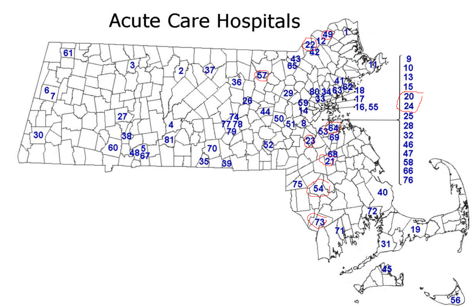